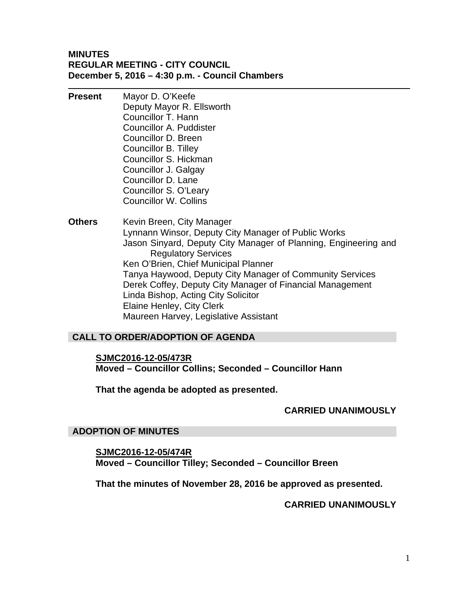## **MINUTES REGULAR MEETING - CITY COUNCIL December 5, 2016 – 4:30 p.m. - Council Chambers**

- **Present** Mayor D. O'Keefe Deputy Mayor R. Ellsworth Councillor T. Hann Councillor A. Puddister Councillor D. Breen Councillor B. Tilley Councillor S. Hickman Councillor J. Galgay Councillor D. Lane Councillor S. O'Leary Councillor W. Collins
- **Others** Kevin Breen, City Manager Lynnann Winsor, Deputy City Manager of Public Works Jason Sinyard, Deputy City Manager of Planning, Engineering and Regulatory Services Ken O'Brien, Chief Municipal Planner Tanya Haywood, Deputy City Manager of Community Services Derek Coffey, Deputy City Manager of Financial Management Linda Bishop, Acting City Solicitor Elaine Henley, City Clerk Maureen Harvey, Legislative Assistant

# **CALL TO ORDER/ADOPTION OF AGENDA**

**SJMC2016-12-05/473R Moved – Councillor Collins; Seconded – Councillor Hann** 

**That the agenda be adopted as presented.** 

## **CARRIED UNANIMOUSLY**

## **ADOPTION OF MINUTES**

**SJMC2016-12-05/474R Moved – Councillor Tilley; Seconded – Councillor Breen** 

**That the minutes of November 28, 2016 be approved as presented.** 

## **CARRIED UNANIMOUSLY**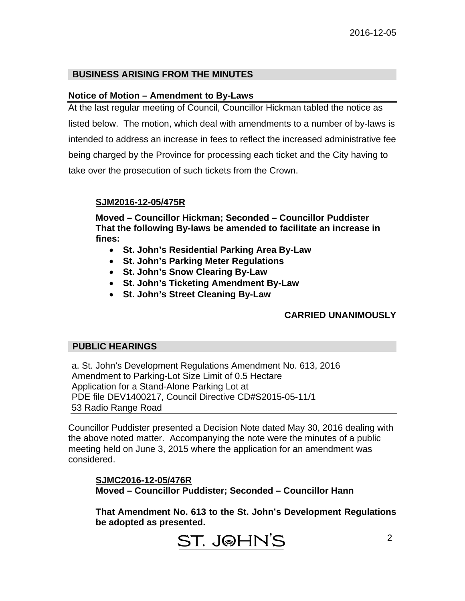## **BUSINESS ARISING FROM THE MINUTES**

## **Notice of Motion – Amendment to By-Laws**

At the last regular meeting of Council, Councillor Hickman tabled the notice as listed below. The motion, which deal with amendments to a number of by-laws is intended to address an increase in fees to reflect the increased administrative fee being charged by the Province for processing each ticket and the City having to take over the prosecution of such tickets from the Crown.

## **SJM2016-12-05/475R**

**Moved – Councillor Hickman; Seconded – Councillor Puddister That the following By-laws be amended to facilitate an increase in fines:** 

- **St. John's Residential Parking Area By-Law**
- **St. John's Parking Meter Regulations**
- **St. John's Snow Clearing By-Law**
- **St. John's Ticketing Amendment By-Law**
- **St. John's Street Cleaning By-Law**

# **CARRIED UNANIMOUSLY**

## **PUBLIC HEARINGS**

a. St. John's Development Regulations Amendment No. 613, 2016 Amendment to Parking-Lot Size Limit of 0.5 Hectare Application for a Stand-Alone Parking Lot at PDE file DEV1400217, Council Directive CD#S2015-05-11/1 53 Radio Range Road

Councillor Puddister presented a Decision Note dated May 30, 2016 dealing with the above noted matter. Accompanying the note were the minutes of a public meeting held on June 3, 2015 where the application for an amendment was considered.

**SJMC2016-12-05/476R Moved – Councillor Puddister; Seconded – Councillor Hann** 

**That Amendment No. 613 to the St. John's Development Regulations be adopted as presented.**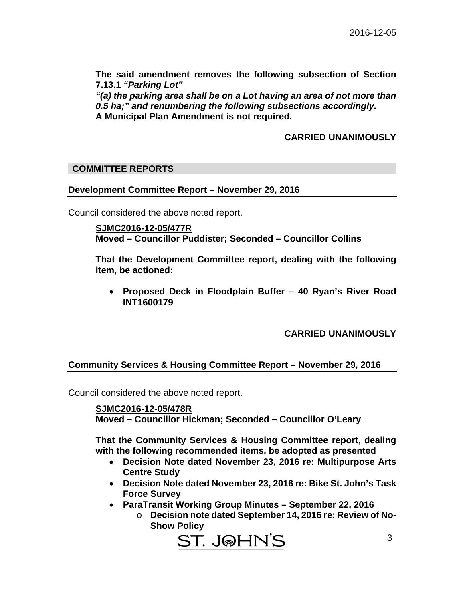**The said amendment removes the following subsection of Section 7.13.1** *"Parking Lot"* 

*"(a) the parking area shall be on a Lot having an area of not more than 0.5 ha;" and renumbering the following subsections accordingly.*  **A Municipal Plan Amendment is not required.** 

## **CARRIED UNANIMOUSLY**

## **COMMITTEE REPORTS**

## **Development Committee Report – November 29, 2016**

Council considered the above noted report.

**SJMC2016-12-05/477R Moved – Councillor Puddister; Seconded – Councillor Collins** 

**That the Development Committee report, dealing with the following item, be actioned:** 

 **Proposed Deck in Floodplain Buffer – 40 Ryan's River Road INT1600179** 

## **CARRIED UNANIMOUSLY**

## **Community Services & Housing Committee Report – November 29, 2016**

Council considered the above noted report.

**SJMC2016-12-05/478R Moved – Councillor Hickman; Seconded – Councillor O'Leary** 

**That the Community Services & Housing Committee report, dealing with the following recommended items, be adopted as presented** 

- **Decision Note dated November 23, 2016 re: Multipurpose Arts Centre Study**
- **Decision Note dated November 23, 2016 re: Bike St. John's Task Force Survey**
- **ParaTransit Working Group Minutes September 22, 2016** 
	- o **Decision note dated September 14, 2016 re: Review of No-Show Policy**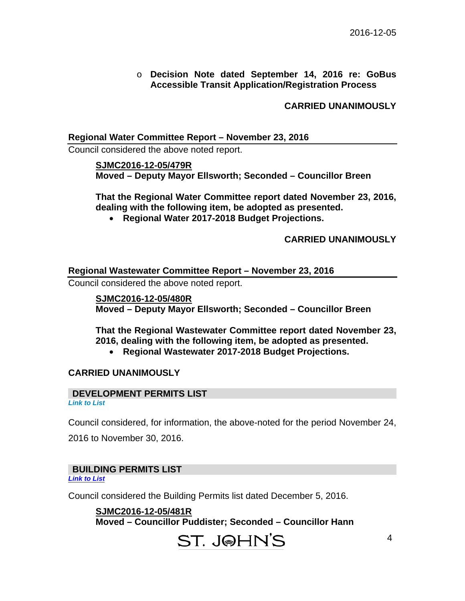## o **Decision Note dated September 14, 2016 re: GoBus Accessible Transit Application/Registration Process**

**CARRIED UNANIMOUSLY** 

## **Regional Water Committee Report – November 23, 2016**

Council considered the above noted report.

**SJMC2016-12-05/479R Moved – Deputy Mayor Ellsworth; Seconded – Councillor Breen** 

**That the Regional Water Committee report dated November 23, 2016, dealing with the following item, be adopted as presented.** 

**Regional Water 2017-2018 Budget Projections.** 

**CARRIED UNANIMOUSLY** 

## **Regional Wastewater Committee Report – November 23, 2016**

Council considered the above noted report.

**SJMC2016-12-05/480R Moved – Deputy Mayor Ellsworth; Seconded – Councillor Breen** 

**That the Regional Wastewater Committee report dated November 23, 2016, dealing with the following item, be adopted as presented.** 

**Regional Wastewater 2017-2018 Budget Projections.** 

## **CARRIED UNANIMOUSLY**

## **DEVELOPMENT PERMITS LIST**

*Link to List* 

Council considered, for information, the above-noted for the period November 24,

2016 to November 30, 2016.

## **BUILDING PERMITS LIST**  *[Link to List](#page-7-0)*

Council considered the Building Permits list dated December 5, 2016.

**SJMC2016-12-05/481R Moved – Councillor Puddister; Seconded – Councillor Hann**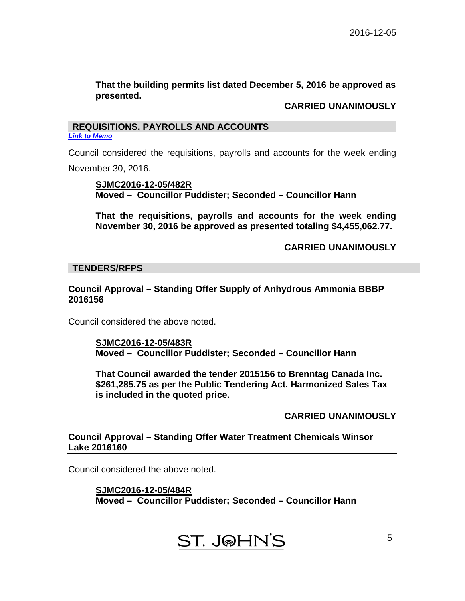## **That the building permits list dated December 5, 2016 be approved as presented.**

## **CARRIED UNANIMOUSLY**

## **REQUISITIONS, PAYROLLS AND ACCOUNTS**  *[Link to Memo](#page-10-0)*

Council considered the requisitions, payrolls and accounts for the week ending November 30, 2016.

## **SJMC2016-12-05/482R Moved – Councillor Puddister; Seconded – Councillor Hann**

**That the requisitions, payrolls and accounts for the week ending November 30, 2016 be approved as presented totaling \$4,455,062.77.** 

## **CARRIED UNANIMOUSLY**

## **TENDERS/RFPS**

## **Council Approval – Standing Offer Supply of Anhydrous Ammonia BBBP 2016156**

Council considered the above noted.

## **SJMC2016-12-05/483R Moved – Councillor Puddister; Seconded – Councillor Hann**

**That Council awarded the tender 2015156 to Brenntag Canada Inc. \$261,285.75 as per the Public Tendering Act. Harmonized Sales Tax is included in the quoted price.** 

## **CARRIED UNANIMOUSLY**

## **Council Approval – Standing Offer Water Treatment Chemicals Winsor Lake 2016160**

Council considered the above noted.

**SJMC2016-12-05/484R Moved – Councillor Puddister; Seconded – Councillor Hann**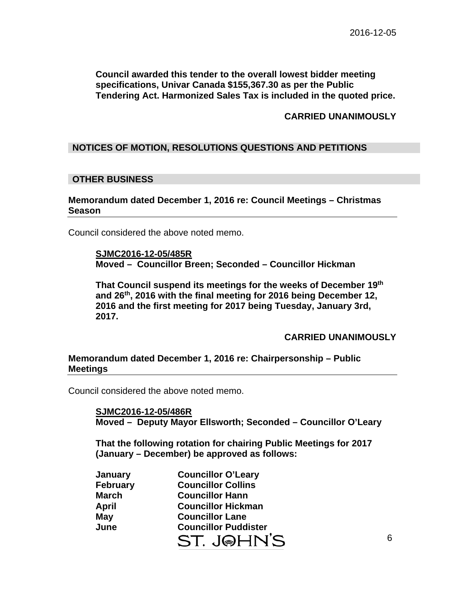**Council awarded this tender to the overall lowest bidder meeting specifications, Univar Canada \$155,367.30 as per the Public Tendering Act. Harmonized Sales Tax is included in the quoted price.** 

## **CARRIED UNANIMOUSLY**

## **NOTICES OF MOTION, RESOLUTIONS QUESTIONS AND PETITIONS**

## **OTHER BUSINESS**

**Memorandum dated December 1, 2016 re: Council Meetings – Christmas Season** 

Council considered the above noted memo.

**SJMC2016-12-05/485R Moved – Councillor Breen; Seconded – Councillor Hickman** 

**That Council suspend its meetings for the weeks of December 19th and 26th, 2016 with the final meeting for 2016 being December 12, 2016 and the first meeting for 2017 being Tuesday, January 3rd, 2017.** 

**CARRIED UNANIMOUSLY** 

## **Memorandum dated December 1, 2016 re: Chairpersonship – Public Meetings**

Council considered the above noted memo.

**SJMC2016-12-05/486R Moved – Deputy Mayor Ellsworth; Seconded – Councillor O'Leary** 

**That the following rotation for chairing Public Meetings for 2017 (January – December) be approved as follows:** 

| January         | <b>Councillor O'Leary</b>   |  |  |
|-----------------|-----------------------------|--|--|
| <b>February</b> | <b>Councillor Collins</b>   |  |  |
| March           | <b>Councillor Hann</b>      |  |  |
| April           | <b>Councillor Hickman</b>   |  |  |
| May             | <b>Councillor Lane</b>      |  |  |
| June            | <b>Councillor Puddister</b> |  |  |
|                 | <b>ST. JOHN</b>             |  |  |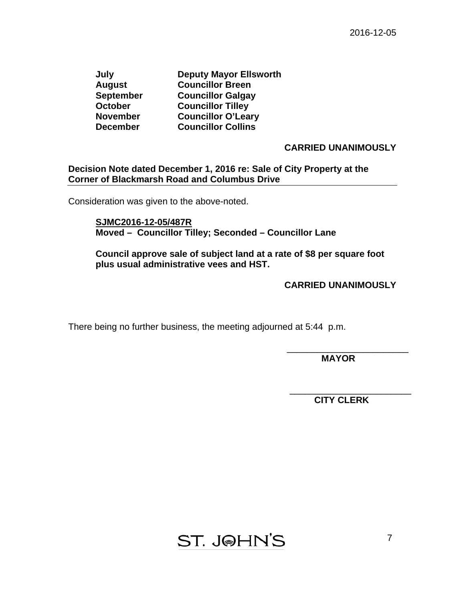**July Deputy Mayor Ellsworth August Councillor Breen September Councillor Galgay October Councillor Tilley November Councillor O'Leary December Councillor Collins** 

## **CARRIED UNANIMOUSLY**

## **Decision Note dated December 1, 2016 re: Sale of City Property at the Corner of Blackmarsh Road and Columbus Drive**

Consideration was given to the above-noted.

**SJMC2016-12-05/487R Moved – Councillor Tilley; Seconded – Councillor Lane** 

**Council approve sale of subject land at a rate of \$8 per square foot plus usual administrative vees and HST.** 

## **CARRIED UNANIMOUSLY**

There being no further business, the meeting adjourned at 5:44 p.m.

 **MAYOR** 

\_\_\_\_\_\_\_\_\_\_\_\_\_\_\_\_\_\_\_\_\_\_\_\_

\_\_\_\_\_\_\_\_\_\_\_\_\_\_\_\_\_\_\_\_\_\_\_\_

 **CITY CLERK** 

**ST. J@HN'S**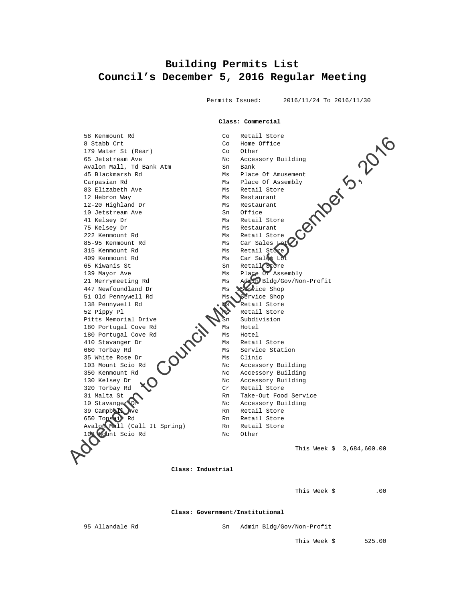## <span id="page-7-0"></span>**Building Permits List Council's December 5, 2016 Regular Meeting**

Permits Issued: 2016/11/24 To 2016/11/30

#### **Class: Commercial**

 58 Kenmount Rd Co Retail Store 8 Stabb Crt Company Company Company Company Company Company Company Company Company Company Company Company Co 179 Water St (Rear) Co Other 65 Jetstream Ave Nc Accessory Building Avalon Mall, Td Bank Atm Sn Bank Avalon Mall, Td Bank Atm 45 Blackmarsh Rd Ms Place Of Amusement Carpasian Rd Ms Place Of Assembly 83 Elizabeth Ave MS Retail Store 12 Hebron Way **MS** Restaurant 12-20 Highland Dr Ms Restaurant 10 Jetstream Ave 10 Jetstream Ave and Sn Office<br>
41 Kelsey Dr Ms Retail Store 75 Kelsey Dr Ms Restaurant 222 Kenmount Rd<br>85-95 Kenmount Rd Ms Car Sales Is Ms Car Sales<br>Ms Retail Store 315 Kenmount Rd 409 Kenmount Rd Ms Car Sales L 65 Kiwanis St Sn Retail Store 139 Mayor Ave Ms Place Of Assembly 21 Merrymeeting Rd Ms Admin Bldg/Gov/Non-Profit 447 Newfoundland Dr Ms Newfice Shop 51 Old Pennywell Rd Ms Ms Service Shop 138 Pennywell Rd Ms Retail Store 52 Pippy Pl<br>Pitts Memorial Drive<br>Pitts Memorial Drive<br>Sh Subdivision Pitts Memorial Drive<br>180 Portugal Cove Rd
Ms
Motel 180 Portugal Cove Rd 180 Portugal Cove Rd  $\bigcap_{M \in \mathbb{N}}$  Ms Hotel 410 Stavanger Dr Ms Retail Store 660 Torbay Rd Ms Service Station<br>35 White Rose Dr (Ms Clinic 35 White Rose Dr 103 Mount Scio Rd No Nc Accessory Building<br>350 Kenmount Rd Nc Accessory Building Nc Accessory Building 130 Kelsey Dr (1) Nc Accessory Building 320 Torbay Rd Cr Retail Store<br>31 Malta St Rn Take-Out Food<br>10 Stavange OP Nc Accessory Bu Rn Take-Out Food Service Nc Accessory Building<br>Rn Retail Store 39 Campbell Ave Rn Retail Store 650 Topsail Rd Rn Retail Store Avalon Mall (Call It Spring) Rn Retail Store 103 Mount Scio Rd Nc Other This Week \$ 3,684,600.00 Se Keamiount Rd<br>
19 Scheme Council Minutes of December 1988<br>
Analog Mali Council Minutes of December 1988<br>
Adding the Hand Kan<br>
19 Scheme Adding Scheme Council Minutes of December 1988<br>
12 Rebrech Advantage Scheme Council

 **Class: Industrial** 

This Week \$ .00

 **Class: Government/Institutional** 

95 Allandale Rd Sn Admin Bldg/Gov/Non-Profit

This Week \$ 525.00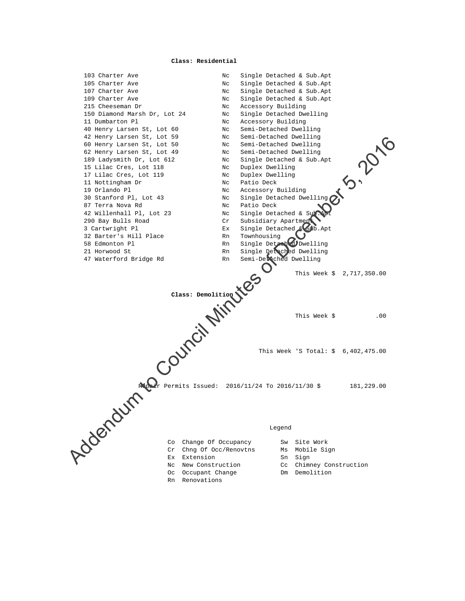#### **Class: Residential**

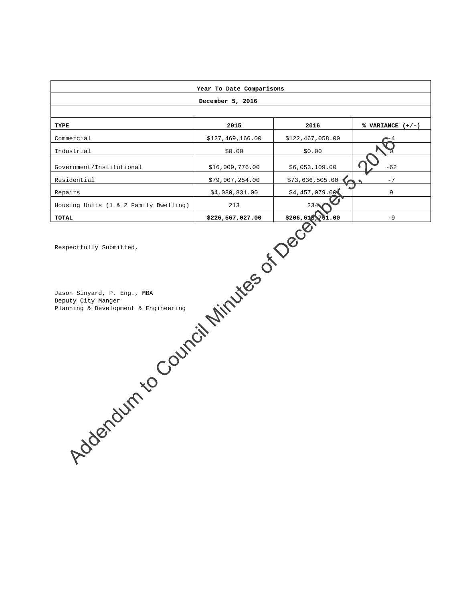|                                                                                                                                                                 |                  | Year To Date Comparisons |                    |  |  |
|-----------------------------------------------------------------------------------------------------------------------------------------------------------------|------------------|--------------------------|--------------------|--|--|
| December 5, 2016                                                                                                                                                |                  |                          |                    |  |  |
|                                                                                                                                                                 |                  |                          |                    |  |  |
| TYPE                                                                                                                                                            | 2015             | 2016                     | % VARIANCE $(+/-)$ |  |  |
| Commercial                                                                                                                                                      | \$127,469,166.00 | \$122,467,058.00         |                    |  |  |
| Industrial                                                                                                                                                      | \$0.00           | \$0.00                   |                    |  |  |
| Government/Institutional                                                                                                                                        | \$16,009,776.00  | \$6,053,109.00           | $-62$              |  |  |
| Residential                                                                                                                                                     | \$79,007,254.00  | \$73,636,505.00          | $-7$               |  |  |
| Repairs                                                                                                                                                         | \$4,080,831.00   | \$4,457,079.00           | 9                  |  |  |
| Housing Units (1 & 2 Family Dwelling)                                                                                                                           | 213              | 234                      |                    |  |  |
| <b>TOTAL</b>                                                                                                                                                    |                  | 51.00                    | $-9$               |  |  |
| Addendum to Council Minutes of December<br>Respectfully Submitted,<br>Jason Sinyard, P. Eng., MBA<br>Deputy City Manger<br>Planning & Development & Engineering |                  |                          |                    |  |  |